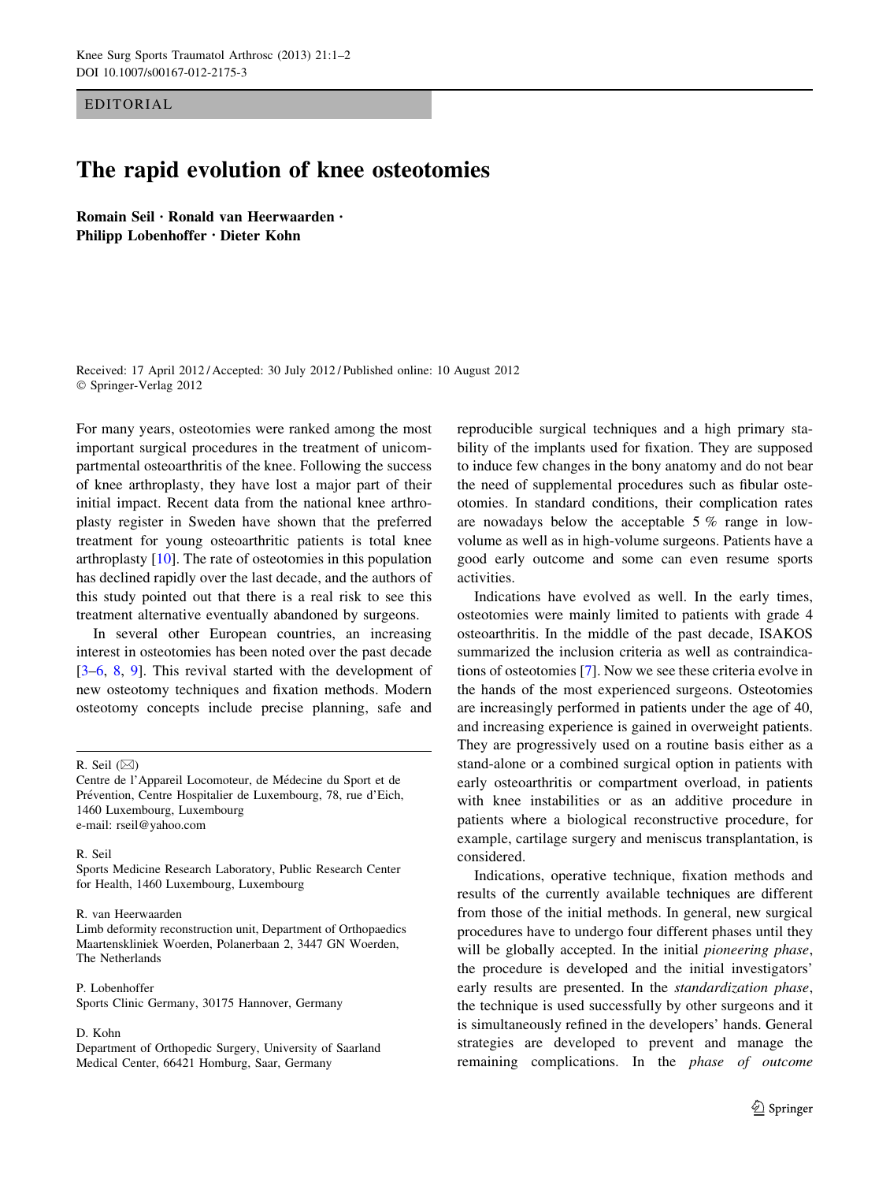EDITORIAL

# The rapid evolution of knee osteotomies

Romain Seil · Ronald van Heerwaarden · Philipp Lobenhoffer · Dieter Kohn

Received: 17 April 2012/Accepted: 30 July 2012/Published online: 10 August 2012 © Springer-Verlag 2012

For many years, osteotomies were ranked among the most important surgical procedures in the treatment of unicompartmental osteoarthritis of the knee. Following the success of knee arthroplasty, they have lost a major part of their initial impact. Recent data from the national knee arthroplasty register in Sweden have shown that the preferred treatment for young osteoarthritic patients is total knee arthroplasty  $[10]$ . The rate of osteotomies in this population has declined rapidly over the last decade, and the authors of this study pointed out that there is a real risk to see this treatment alternative eventually abandoned by surgeons.

In several other European countries, an increasing interest in osteotomies has been noted over the past decade  $[3-6, 8, 9]$ . This revival started with the development of new osteotomy techniques and fixation methods. Modern osteotomy concepts include precise planning, safe and

R. Seil  $(\boxtimes)$ 

## R. Seil

Sports Medicine Research Laboratory, Public Research Center for Health, 1460 Luxembourg, Luxembourg

## R. van Heerwaarden

Limb deformity reconstruction unit, Department of Orthopaedics Maartenskliniek Woerden, Polanerbaan 2, 3447 GN Woerden, The Netherlands

#### P. Lobenhoffer

Sports Clinic Germany, 30175 Hannover, Germany

### D. Kohn

Department of Orthopedic Surgery, University of Saarland Medical Center, 66421 Homburg, Saar, Germany

reproducible surgical techniques and a high primary stability of the implants used for fixation. They are supposed to induce few changes in the bony anatomy and do not bear the need of supplemental procedures such as fibular osteotomies. In standard conditions, their complication rates are nowadays below the acceptable  $5\%$  range in lowvolume as well as in high-volume surgeons. Patients have a good early outcome and some can even resume sports activities.

Indications have evolved as well. In the early times, osteotomies were mainly limited to patients with grade 4 osteoarthritis. In the middle of the past decade, ISAKOS summarized the inclusion criteria as well as contraindications of osteotomies [7]. Now we see these criteria evolve in the hands of the most experienced surgeons. Osteotomies are increasingly performed in patients under the age of 40, and increasing experience is gained in overweight patients. They are progressively used on a routine basis either as a stand-alone or a combined surgical option in patients with early osteoarthritis or compartment overload, in patients with knee instabilities or as an additive procedure in patients where a biological reconstructive procedure, for example, cartilage surgery and meniscus transplantation, is considered.

Indications, operative technique, fixation methods and results of the currently available techniques are different from those of the initial methods. In general, new surgical procedures have to undergo four different phases until they will be globally accepted. In the initial *pioneering phase*, the procedure is developed and the initial investigators' early results are presented. In the standardization phase, the technique is used successfully by other surgeons and it is simultaneously refined in the developers' hands. General strategies are developed to prevent and manage the remaining complications. In the phase of outcome

Centre de l'Appareil Locomoteur, de Médecine du Sport et de Prévention, Centre Hospitalier de Luxembourg, 78, rue d'Eich, 1460 Luxembourg, Luxembourg e-mail: rseil@yahoo.com